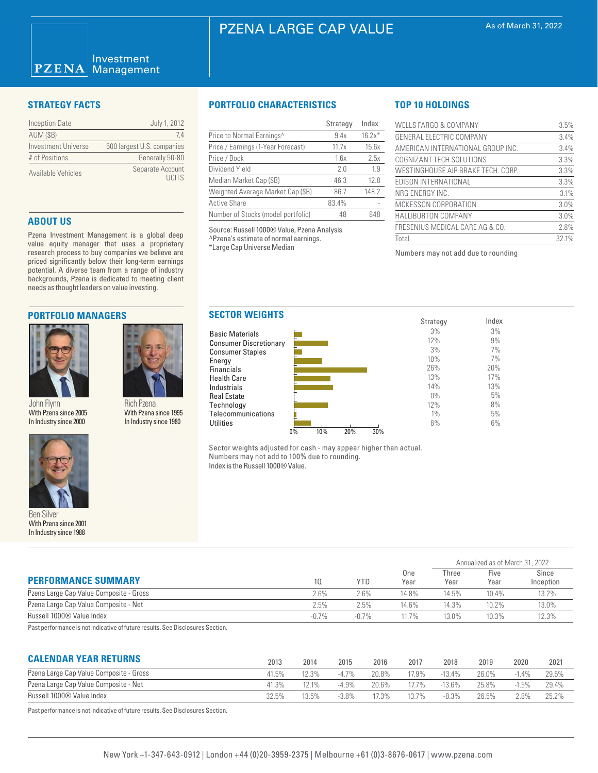# PZENA LARGE CAP VALUE

| <b>Inception Date</b>      | July 1, 2012                      |
|----------------------------|-----------------------------------|
| <b>AUM (\$B)</b>           | 74                                |
| <b>Investment Universe</b> | 500 largest U.S. companies        |
| # of Positions             | Generally 50-80                   |
| Available Vehicles         | Separate Account<br><b>LICITS</b> |

# **ABOUT US**

Pzena Investment Management is a global deep value equity manager that uses a proprietary research process to buy companies we believe are priced significantly below their long-term earnings potential. A diverse team from a range of industry backgrounds, Pzena is dedicated to meeting client needs as thought leaders on value investing.

## **PORTFOLIO MANAGERS**



John Flynn With Pzena since 2005 In Industry since 2000



Ben Silver With Pzena since 2001 In Industry since 1988

# **STRATEGY FACTS PORTFOLIO CHARACTERISTICS**

|                                       | Strategy | Index    |
|---------------------------------------|----------|----------|
| Price to Normal Earnings <sup>^</sup> | 9.4x     | $16.2x*$ |
| Price / Earnings (1-Year Forecast)    | 11.7x    | 15.6x    |
| Price / Book                          | 1.6x     | 2.5x     |
| Dividend Yield                        | 20       | 1.9      |
| Median Market Cap (\$B)               | 46.3     | 12.8     |
| Weighted Average Market Cap (\$B)     | 86.7     | 148.2    |
| <b>Active Share</b>                   | 83.4%    |          |
| Number of Stocks (model portfolio)    | 48       | 848      |

Source: Russell 1000® Value, Pzena Analysis ^Pzena's estimate of normal earnings. \*Large Cap Universe Median

Energy

# **TOP 10 HOLDINGS**

| WELLS FARGO & COMPANY              | 3.5%  |
|------------------------------------|-------|
| GENERAL ELECTRIC COMPANY           | 3.4%  |
| AMERICAN INTERNATIONAL GROUP INC.  | 3.4%  |
| COGNIZANT TECH SOLUTIONS           | 3.3%  |
| WESTINGHOUSE AIR BRAKE TECH. CORP. | 3.3%  |
| EDISON INTERNATIONAL               | 3.3%  |
| NRG ENERGY INC.                    | 3.1%  |
| MCKESSON CORPORATION               | 3.0%  |
| <b>HALLIBURTON COMPANY</b>         | 3.0%  |
| FRESENIUS MEDICAL CARE AG & CO.    | 2.8%  |
| Total                              | 32.1% |

Annualized as of March 31, 2022

Numbers may not add due to rounding



Sector weights adjusted for cash - may appear higher than actual. Numbers may not add to 100% due to rounding. Index is the Russell 1000® Value.

| <b>PERFORMANCE SUMMARY</b>                                 | 10.     | YTD      | One<br>Year | Three<br>Year | Five<br>Year | Since<br>Inception |  |
|------------------------------------------------------------|---------|----------|-------------|---------------|--------------|--------------------|--|
| Pzena Large Cap Value Composite - Gross                    | 2.6%    | $2.6\%$  | 14.8%       | 14.5%         | 10.4%        | 13.2%              |  |
| Pzena Large Cap Value Composite - Net                      | 2.5%    | 2.5%     | 14.6%       | 14.3%         | 10.2%        | 13.0%              |  |
| Russell 1000® Value Index                                  | $-0.7%$ | $-0.7\%$ | 11.7%       | 13.0%         | 10.3%        | 12.3%              |  |
| $\sim$ $\sim$ $\sim$ $\sim$ $\sim$ $\sim$<br>$\sim$ $\sim$ |         |          |             |               |              |                    |  |

Past performance is not indicative of future results. See Disclosures Section.

Rich Pzena With Pzena since 1995 In Industry since 1980

# **CALENDAR YEAR RETURNS**

| <b>UALENDAN TEAN NETUNNO</b>            | 2013  | 2014     | 2015     | 2016    | 2017    | 2018      | 2019  | 2020    | 2021  |
|-----------------------------------------|-------|----------|----------|---------|---------|-----------|-------|---------|-------|
| Pzena Large Cap Value Composite - Gross | 41.5% | 2.3%     | $-4.7\%$ | 20.8%   | $7.9\%$ | $-13.4\%$ | 26.0% | $-1.4%$ | 29.5% |
| Pzena Large Cap Value Composite - Net   | 41.3% | $12.1\%$ | $-4.9%$  | 20.6%   | 77%     | $-13.6%$  | 25.8% | $-1.5%$ | 29.4% |
| Russell 1000® Value Index               | 32.5% | 13.5%    | $-3.8\%$ | $7.3\%$ | 13.7%   | $-8.3%$   | 26.5% | 2.8%    | 25.2% |
|                                         |       |          |          |         |         |           |       |         |       |

Past performance is not indicative of future results. See Disclosures Section.